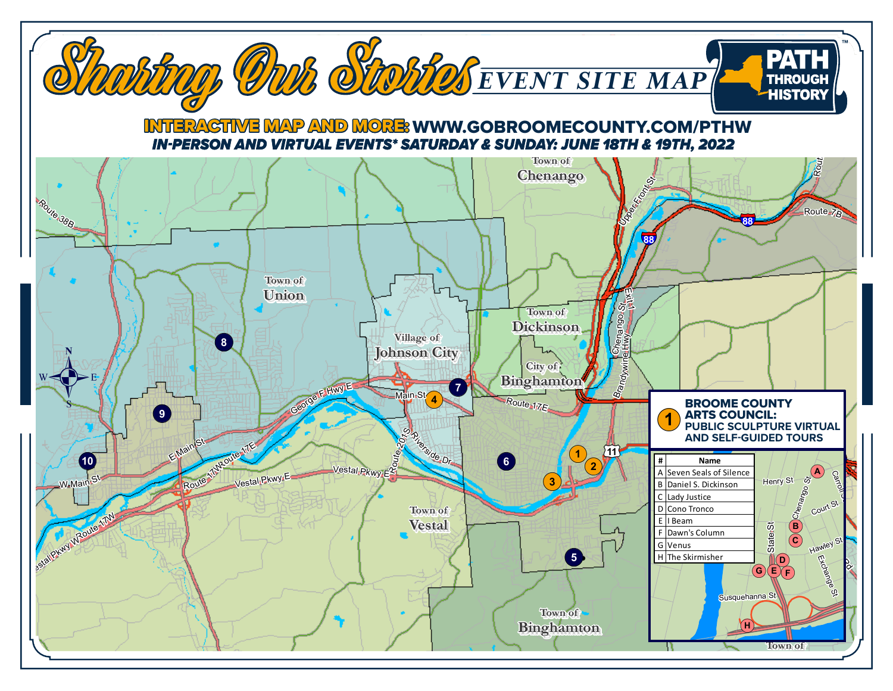